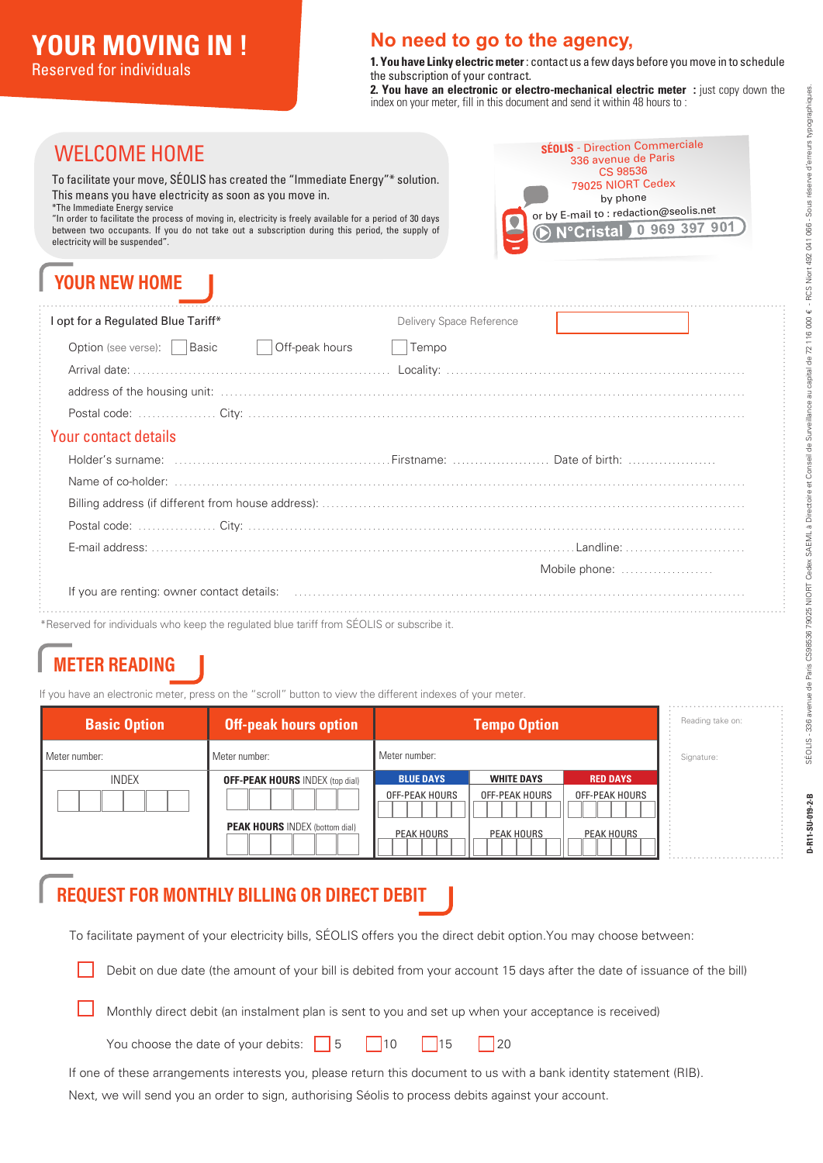#### **No need to go to the agency,**

**1. You have Linky electric meter** : contact us a few days before you move in to schedule the subscription of your contract.

**2. You have an electronic or electro-mechanical electric meter :** just copy down the index on your meter, fill in this document and send it within 48 hours to :

> **SÉOLIS** - Direction Commerciale 336 avenue de Paris CS 98536 79025 NIORT Cedex by phone or by E-mail to : redaction@seolis.net<br>© N°Cristal 0 969 397 901

*<u>Cristal</u>* 

### WELCOME HOME

To facilitate your move, SÉOLIS has created the "Immediate Energy"\* solution. This means you have electricity as soon as you move in.

\*The Immediate Energy service

"In order to facilitate the process of moving in, electricity is freely available for a period of 30 days between two occupants. If you do not take out a subscription during this period, the supply of electricity will be suspended".

## **YOUR NEW HOME**

| l opt for a Regulated Blue Tariff*                                                                                                                                                                                             | Delivery Space Reference |               |
|--------------------------------------------------------------------------------------------------------------------------------------------------------------------------------------------------------------------------------|--------------------------|---------------|
| Off-peak hours<br>Option (see verse):   Basic                                                                                                                                                                                  | Tempo                    |               |
|                                                                                                                                                                                                                                |                          |               |
|                                                                                                                                                                                                                                |                          |               |
|                                                                                                                                                                                                                                |                          |               |
| Your contact details                                                                                                                                                                                                           |                          |               |
|                                                                                                                                                                                                                                |                          |               |
|                                                                                                                                                                                                                                |                          |               |
|                                                                                                                                                                                                                                |                          |               |
|                                                                                                                                                                                                                                |                          |               |
|                                                                                                                                                                                                                                |                          |               |
|                                                                                                                                                                                                                                |                          | Mobile phone: |
| If you are renting: owner contact details: encontainment is an example of the contract of the contract of the contract of the state of the contract of the state of the state of the state of the state of the state of the st |                          |               |
| *Reserved for individuals who keep the regulated blue tariff from SÉOLIS or subscribe it.                                                                                                                                      |                          |               |

## **METER READING**

If you have an electronic meter, press on the "scroll" button to view the different indexes of your meter.

| <b>Basic Option</b> | <b>Off-peak hours option</b>                                                    | <b>Tempo Option</b>                                            |                                                          |                                                               | Reading take on: |
|---------------------|---------------------------------------------------------------------------------|----------------------------------------------------------------|----------------------------------------------------------|---------------------------------------------------------------|------------------|
| Meter number:       | Meter number:                                                                   | Meter number:                                                  |                                                          |                                                               | Signature:       |
| <b>INDEX</b>        | <b>OFF-PEAK HOURS INDEX (top dial)</b><br><b>PEAK HOURS INDEX (bottom dial)</b> | <b>BLUE DAYS</b><br><b>OFF-PEAK HOURS</b><br><b>PEAK HOURS</b> | <b>WHITE DAYS</b><br><b>OFF-PEAK HOURS</b><br>PEAK HOURS | <b>RED DAYS</b><br><b>OFF-PEAK HOURS</b><br><b>PEAK HOURS</b> |                  |

### **REQUEST FOR MONTHLY BILLING OR DIRECT DEBIT**

To facilitate payment of your electricity bills, SÉOLIS offers you the direct debit option.You may choose between:

Debit on due date (the amount of your bill is debited from your account 15 days after the date of issuance of the bill)

Monthly direct debit (an instalment plan is sent to you and set up when your acceptance is received)

You choose the date of your debits: 5 10 15 20

If one of these arrangements interests you, please return this document to us with a bank identity statement (RIB).

Next, we will send you an order to sign, authorising Séolis to process debits against your account.